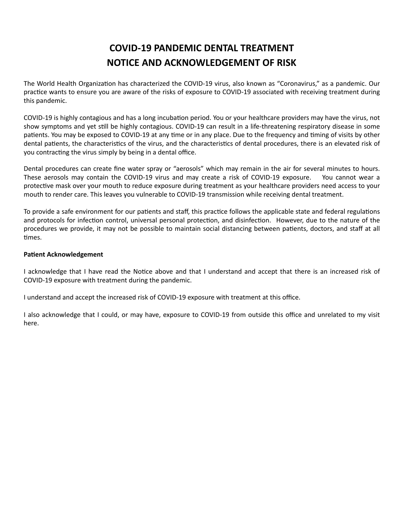## **COVID-19 PANDEMIC DENTAL TREATMENT NOTICE AND ACKNOWLEDGEMENT OF RISK**

The World Health Organization has characterized the COVID-19 virus, also known as "Coronavirus," as a pandemic. Our practice wants to ensure you are aware of the risks of exposure to COVID-19 associated with receiving treatment during this pandemic.

COVID-19 is highly contagious and has a long incubation period. You or your healthcare providers may have the virus, not show symptoms and yet still be highly contagious. COVID-19 can result in a life-threatening respiratory disease in some patients. You may be exposed to COVID-19 at any time or in any place. Due to the frequency and timing of visits by other dental patients, the characteristics of the virus, and the characteristics of dental procedures, there is an elevated risk of you contracting the virus simply by being in a dental office.

Dental procedures can create fine water spray or "aerosols" which may remain in the air for several minutes to hours. These aerosols may contain the COVID-19 virus and may create a risk of COVID-19 exposure. You cannot wear a protective mask over your mouth to reduce exposure during treatment as your healthcare providers need access to your mouth to render care. This leaves you vulnerable to COVID-19 transmission while receiving dental treatment.

To provide a safe environment for our patients and staff, this practice follows the applicable state and federal regulations and protocols for infection control, universal personal protection, and disinfection. However, due to the nature of the procedures we provide, it may not be possible to maintain social distancing between patients, doctors, and staff at all times.

## **Patient Acknowledgement**

I acknowledge that I have read the Notice above and that I understand and accept that there is an increased risk of COVID-19 exposure with treatment during the pandemic.

I understand and accept the increased risk of COVID-19 exposure with treatment at this office.

I also acknowledge that I could, or may have, exposure to COVID-19 from outside this office and unrelated to my visit here.